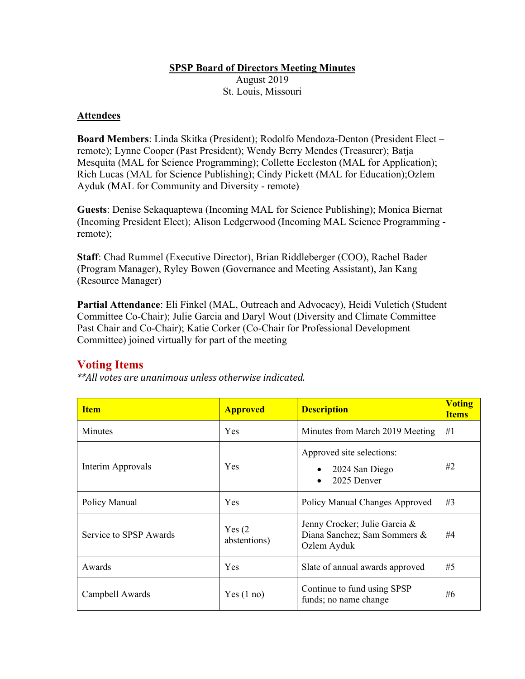## **SPSP Board of Directors Meeting Minutes**

August 2019 St. Louis, Missouri

## **Attendees**

**Board Members**: Linda Skitka (President); Rodolfo Mendoza-Denton (President Elect – remote); Lynne Cooper (Past President); Wendy Berry Mendes (Treasurer); Batja Mesquita (MAL for Science Programming); Collette Eccleston (MAL for Application); Rich Lucas (MAL for Science Publishing); Cindy Pickett (MAL for Education);Ozlem Ayduk (MAL for Community and Diversity - remote)

**Guests**: Denise Sekaquaptewa (Incoming MAL for Science Publishing); Monica Biernat (Incoming President Elect); Alison Ledgerwood (Incoming MAL Science Programming remote);

**Staff**: Chad Rummel (Executive Director), Brian Riddleberger (COO), Rachel Bader (Program Manager), Ryley Bowen (Governance and Meeting Assistant), Jan Kang (Resource Manager)

**Partial Attendance**: Eli Finkel (MAL, Outreach and Advocacy), Heidi Vuletich (Student Committee Co-Chair); Julie Garcia and Daryl Wout (Diversity and Climate Committee Past Chair and Co-Chair); Katie Corker (Co-Chair for Professional Development Committee) joined virtually for part of the meeting

## **Voting Items**

*\*\*All votes are unanimous unless otherwise indicated.*

| <b>Item</b>            | <b>Approved</b>        | <b>Description</b>                                                           | <b>Voting</b><br><b>Items</b> |
|------------------------|------------------------|------------------------------------------------------------------------------|-------------------------------|
| <b>Minutes</b>         | Yes                    | Minutes from March 2019 Meeting                                              | #1                            |
| Interim Approvals      | Yes                    | Approved site selections:<br>2024 San Diego<br>2025 Denver<br>$\bullet$      | #2                            |
| Policy Manual          | Yes                    | Policy Manual Changes Approved                                               | #3                            |
| Service to SPSP Awards | Yes(2)<br>abstentions) | Jenny Crocker; Julie Garcia &<br>Diana Sanchez; Sam Sommers &<br>Ozlem Ayduk | #4                            |
| Awards                 | Yes                    | Slate of annual awards approved                                              | #5                            |
| Campbell Awards        | Yes(1 no)              | Continue to fund using SPSP<br>funds; no name change                         | #6                            |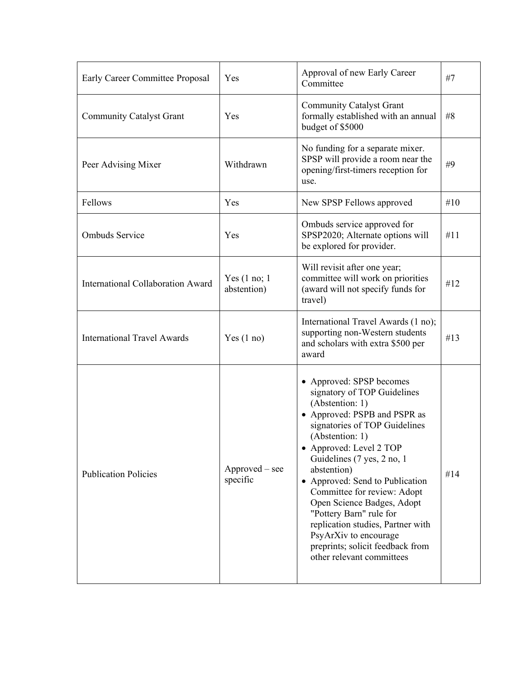| Early Career Committee Proposal          | Yes                            | Approval of new Early Career<br>Committee                                                                                                                                                                                                                                                                                                                                                                                                                                                        | #7  |
|------------------------------------------|--------------------------------|--------------------------------------------------------------------------------------------------------------------------------------------------------------------------------------------------------------------------------------------------------------------------------------------------------------------------------------------------------------------------------------------------------------------------------------------------------------------------------------------------|-----|
| <b>Community Catalyst Grant</b>          | Yes                            | <b>Community Catalyst Grant</b><br>formally established with an annual<br>budget of \$5000                                                                                                                                                                                                                                                                                                                                                                                                       | #8  |
| Peer Advising Mixer                      | Withdrawn                      | No funding for a separate mixer.<br>SPSP will provide a room near the<br>opening/first-timers reception for<br>use.                                                                                                                                                                                                                                                                                                                                                                              | #9  |
| Fellows                                  | Yes                            | New SPSP Fellows approved                                                                                                                                                                                                                                                                                                                                                                                                                                                                        | #10 |
| <b>Ombuds Service</b>                    | Yes                            | Ombuds service approved for<br>SPSP2020; Alternate options will<br>be explored for provider.                                                                                                                                                                                                                                                                                                                                                                                                     | #11 |
| <b>International Collaboration Award</b> | Yes $(1 no; 1)$<br>abstention) | Will revisit after one year;<br>committee will work on priorities<br>(award will not specify funds for<br>travel)                                                                                                                                                                                                                                                                                                                                                                                | #12 |
| <b>International Travel Awards</b>       | Yes $(1 no)$                   | International Travel Awards (1 no);<br>supporting non-Western students<br>and scholars with extra \$500 per<br>award                                                                                                                                                                                                                                                                                                                                                                             | #13 |
| <b>Publication Policies</b>              | Approved – see<br>specific     | • Approved: SPSP becomes<br>signatory of TOP Guidelines<br>(Abstention: 1)<br>• Approved: PSPB and PSPR as<br>signatories of TOP Guidelines<br>(Abstention: 1)<br>• Approved: Level 2 TOP<br>Guidelines (7 yes, 2 no, 1<br>abstention)<br>• Approved: Send to Publication<br>Committee for review: Adopt<br>Open Science Badges, Adopt<br>"Pottery Barn" rule for<br>replication studies, Partner with<br>PsyArXiv to encourage<br>preprints; solicit feedback from<br>other relevant committees | #14 |